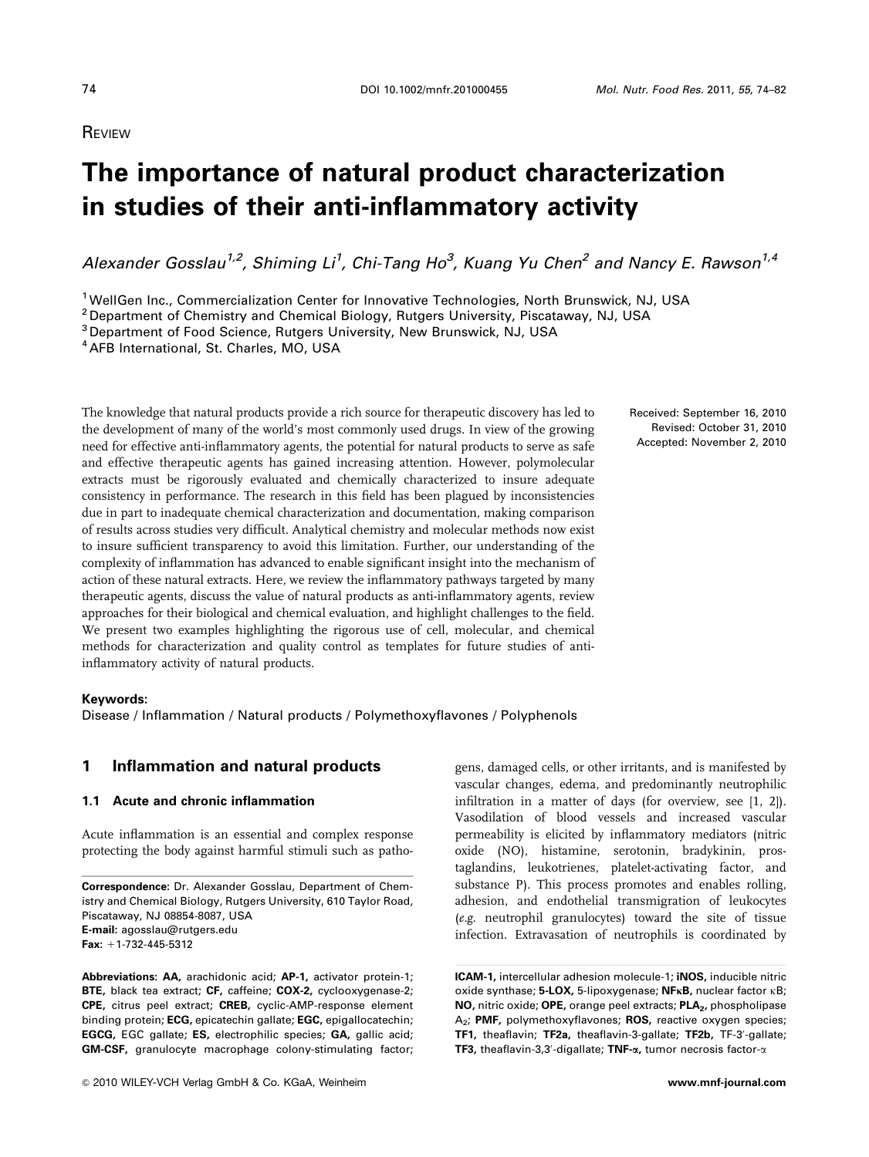**REVIEW** 

# **The importance of natural product characterization in studies of their anti-inflammatory activity**

*Alexander Gosslau1,2, Shiming Li1 , Chi-Tang Ho<sup>3</sup> , Kuang Yu Chen<sup>2</sup> and Nancy E. Rawson1,4*

<sup>1</sup> WellGen Inc., Commercialization Center for Innovative Technologies, North Brunswick, NJ, USA

<sup>2</sup> Department of Chemistry and Chemical Biology, Rutgers University, Piscataway, NJ, USA

<sup>3</sup> Department of Food Science, Rutgers University, New Brunswick, NJ, USA

<sup>4</sup> AFB International, St. Charles, MO, USA

The knowledge that natural products provide a rich source for therapeutic discovery has led to the development of many of the world's most commonly used drugs. In view of the growing need for effective anti-inflammatory agents, the potential for natural products to serve as safe and effective therapeutic agents has gained increasing attention. However, polymolecular extracts must be rigorously evaluated and chemically characterized to insure adequate consistency in performance. The research in this field has been plagued by inconsistencies due in part to inadequate chemical characterization and documentation, making comparison of results across studies very difficult. Analytical chemistry and molecular methods now exist to insure sufficient transparency to avoid this limitation. Further, our understanding of the complexity of inflammation has advanced to enable significant insight into the mechanism of action of these natural extracts. Here, we review the inflammatory pathways targeted by many therapeutic agents, discuss the value of natural products as anti-inflammatory agents, review approaches for their biological and chemical evaluation, and highlight challenges to the field. We present two examples highlighting the rigorous use of cell, molecular, and chemical methods for characterization and quality control as templates for future studies of antiinflammatory activity of natural products.

#### **Keywords:**

Disease / Inflammation / Natural products / Polymethoxyflavones / Polyphenols

# **1 Inflammation and natural products**

# **1.1 Acute and chronic inflammation**

Acute inflammation is an essential and complex response protecting the body against harmful stimuli such as patho-

**Correspondence:** Dr. Alexander Gosslau, Department of Chemistry and Chemical Biology, Rutgers University, 610 Taylor Road, Piscataway, NJ 08854-8087, USA **E-mail:** agosslau@rutgers.edu Fax: +1-732-445-5312

**Abbreviations: AA,** arachidonic acid; **AP-1,** activator protein-1; **BTE,** black tea extract; **CF,** caffeine; **COX-2,** cyclooxygenase-2; **CPE,** citrus peel extract; **CREB,** cyclic-AMP-response element binding protein; **ECG,** epicatechin gallate; **EGC,** epigallocatechin; **EGCG,** EGC gallate; **ES,** electrophilic species; **GA,** gallic acid; **GM-CSF,** granulocyte macrophage colony-stimulating factor;

gens, damaged cells, or other irritants, and is manifested by vascular changes, edema, and predominantly neutrophilic infiltration in a matter of days (for overview, see [1, 2]). Vasodilation of blood vessels and increased vascular permeability is elicited by inflammatory mediators (nitric oxide (NO), histamine, serotonin, bradykinin, prostaglandins, leukotrienes, platelet-activating factor, and substance P). This process promotes and enables rolling, adhesion, and endothelial transmigration of leukocytes (e.g. neutrophil granulocytes) toward the site of tissue infection. Extravasation of neutrophils is coordinated by

**ICAM-1,** intercellular adhesion molecule-1; **iNOS,** inducible nitric oxide synthase; 5-LOX, 5-lipoxygenase; NF<sub>K</sub>B, nuclear factor **KB**; **NO**, nitric oxide; OPE, orange peel extracts; PLA<sub>2</sub>, phospholipase A2; **PMF,** polymethoxyflavones; **ROS,** reactive oxygen species; TF1, theaflavin; TF2a, theaflavin-3-gallate; TF2b, TF-3'-gallate; TF3, theaflavin-3,3'-digallate; TNF-a, tumor necrosis factor-a

Received: September 16, 2010 Revised: October 31, 2010 Accepted: November 2, 2010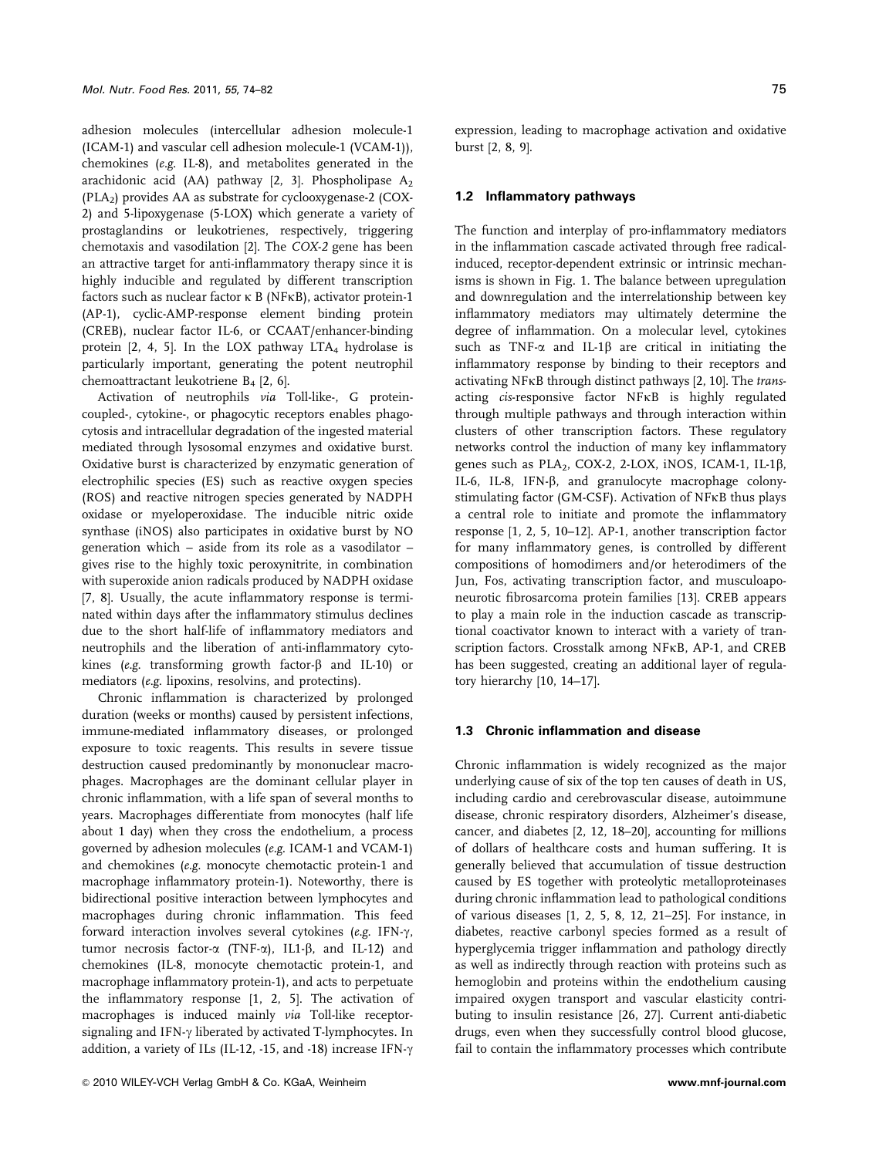adhesion molecules (intercellular adhesion molecule-1 (ICAM-1) and vascular cell adhesion molecule-1 (VCAM-1)), chemokines (e.g. IL-8), and metabolites generated in the arachidonic acid (AA) pathway [2, 3]. Phospholipase  $A_2$ (PLA2) provides AA as substrate for cyclooxygenase-2 (COX-2) and 5-lipoxygenase (5-LOX) which generate a variety of prostaglandins or leukotrienes, respectively, triggering chemotaxis and vasodilation [2]. The COX-2 gene has been an attractive target for anti-inflammatory therapy since it is highly inducible and regulated by different transcription factors such as nuclear factor  $\kappa$  B (NF $\kappa$ B), activator protein-1 (AP-1), cyclic-AMP-response element binding protein (CREB), nuclear factor IL-6, or CCAAT/enhancer-binding protein  $[2, 4, 5]$ . In the LOX pathway LTA<sub>4</sub> hydrolase is particularly important, generating the potent neutrophil chemoattractant leukotriene B4 [2, 6].

Activation of neutrophils via Toll-like-, G proteincoupled-, cytokine-, or phagocytic receptors enables phagocytosis and intracellular degradation of the ingested material mediated through lysosomal enzymes and oxidative burst. Oxidative burst is characterized by enzymatic generation of electrophilic species (ES) such as reactive oxygen species (ROS) and reactive nitrogen species generated by NADPH oxidase or myeloperoxidase. The inducible nitric oxide synthase (iNOS) also participates in oxidative burst by NO generation which – aside from its role as a vasodilator – gives rise to the highly toxic peroxynitrite, in combination with superoxide anion radicals produced by NADPH oxidase [7, 8]. Usually, the acute inflammatory response is terminated within days after the inflammatory stimulus declines due to the short half-life of inflammatory mediators and neutrophils and the liberation of anti-inflammatory cytokines (e.g. transforming growth factor- $\beta$  and IL-10) or mediators (e.g. lipoxins, resolvins, and protectins).

Chronic inflammation is characterized by prolonged duration (weeks or months) caused by persistent infections, immune-mediated inflammatory diseases, or prolonged exposure to toxic reagents. This results in severe tissue destruction caused predominantly by mononuclear macrophages. Macrophages are the dominant cellular player in chronic inflammation, with a life span of several months to years. Macrophages differentiate from monocytes (half life about 1 day) when they cross the endothelium, a process governed by adhesion molecules (e.g. ICAM-1 and VCAM-1) and chemokines (e.g. monocyte chemotactic protein-1 and macrophage inflammatory protein-1). Noteworthy, there is bidirectional positive interaction between lymphocytes and macrophages during chronic inflammation. This feed forward interaction involves several cytokines (e.g. IFN- $\gamma$ , tumor necrosis factor- $\alpha$  (TNF- $\alpha$ ), IL1- $\beta$ , and IL-12) and chemokines (IL-8, monocyte chemotactic protein-1, and macrophage inflammatory protein-1), and acts to perpetuate the inflammatory response [1, 2, 5]. The activation of macrophages is induced mainly via Toll-like receptorsignaling and IFN- $\gamma$  liberated by activated T-lymphocytes. In addition, a variety of ILs (IL-12, -15, and -18) increase IFN- $\gamma$ 

expression, leading to macrophage activation and oxidative burst [2, 8, 9].

#### **1.2 Inflammatory pathways**

The function and interplay of pro-inflammatory mediators in the inflammation cascade activated through free radicalinduced, receptor-dependent extrinsic or intrinsic mechanisms is shown in Fig. 1. The balance between upregulation and downregulation and the interrelationship between key inflammatory mediators may ultimately determine the degree of inflammation. On a molecular level, cytokines such as TNF- $\alpha$  and IL-1B are critical in initiating the inflammatory response by binding to their receptors and activating NFkB through distinct pathways [2, 10]. The transacting cis-responsive factor NFkB is highly regulated through multiple pathways and through interaction within clusters of other transcription factors. These regulatory networks control the induction of many key inflammatory genes such as PLA<sub>2</sub>, COX-2, 2-LOX, iNOS, ICAM-1, IL-1 $\beta$ , IL-6, IL-8, IFN-b, and granulocyte macrophage colonystimulating factor (GM-CSF). Activation of NFkB thus plays a central role to initiate and promote the inflammatory response [1, 2, 5, 10–12]. AP-1, another transcription factor for many inflammatory genes, is controlled by different compositions of homodimers and/or heterodimers of the Jun, Fos, activating transcription factor, and musculoaponeurotic fibrosarcoma protein families [13]. CREB appears to play a main role in the induction cascade as transcriptional coactivator known to interact with a variety of transcription factors. Crosstalk among NFkB, AP-1, and CREB has been suggested, creating an additional layer of regulatory hierarchy [10, 14–17].

# **1.3 Chronic inflammation and disease**

Chronic inflammation is widely recognized as the major underlying cause of six of the top ten causes of death in US, including cardio and cerebrovascular disease, autoimmune disease, chronic respiratory disorders, Alzheimer's disease, cancer, and diabetes [2, 12, 18–20], accounting for millions of dollars of healthcare costs and human suffering. It is generally believed that accumulation of tissue destruction caused by ES together with proteolytic metalloproteinases during chronic inflammation lead to pathological conditions of various diseases [1, 2, 5, 8, 12, 21–25]. For instance, in diabetes, reactive carbonyl species formed as a result of hyperglycemia trigger inflammation and pathology directly as well as indirectly through reaction with proteins such as hemoglobin and proteins within the endothelium causing impaired oxygen transport and vascular elasticity contributing to insulin resistance [26, 27]. Current anti-diabetic drugs, even when they successfully control blood glucose, fail to contain the inflammatory processes which contribute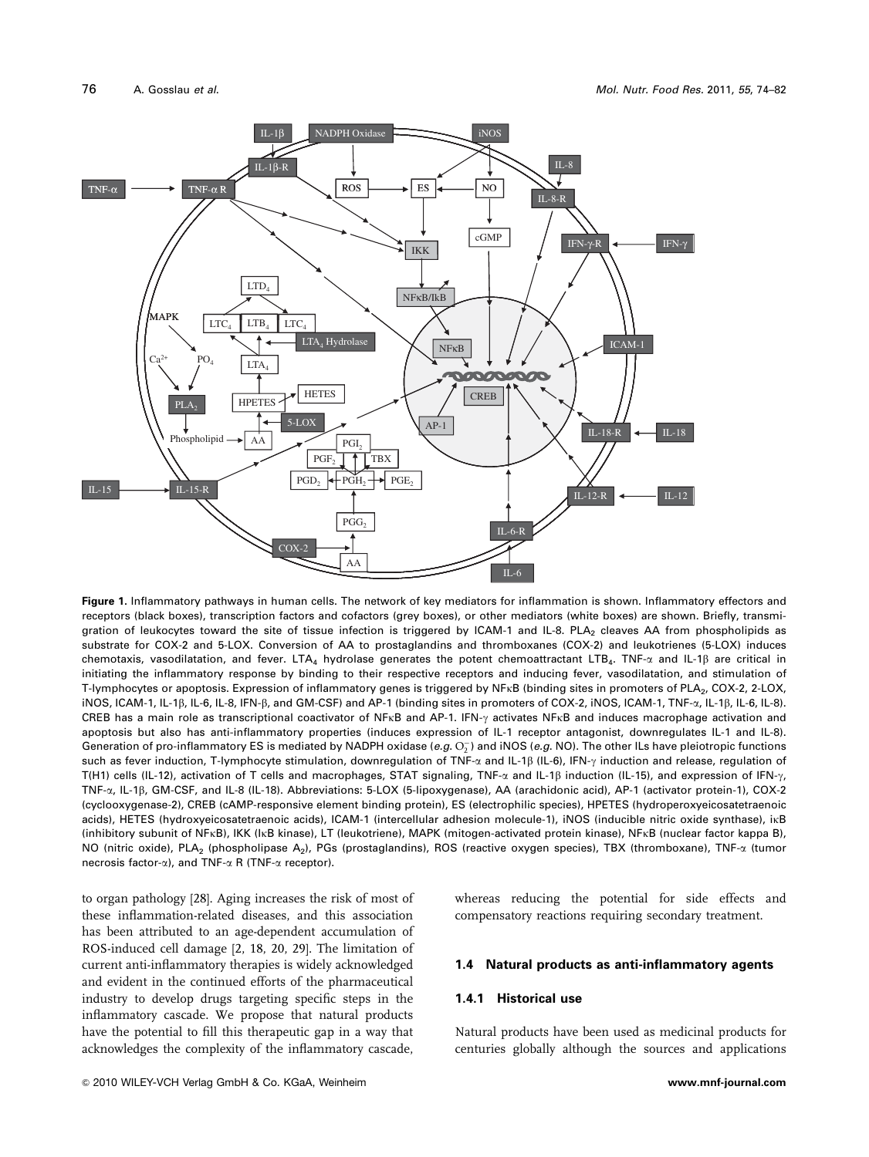

**Figure 1.** Inflammatory pathways in human cells. The network of key mediators for inflammation is shown. Inflammatory effectors and receptors (black boxes), transcription factors and cofactors (grey boxes), or other mediators (white boxes) are shown. Briefly, transmigration of leukocytes toward the site of tissue infection is triggered by ICAM-1 and IL-8. PLA<sub>2</sub> cleaves AA from phospholipids as substrate for COX-2 and 5-LOX. Conversion of AA to prostaglandins and thromboxanes (COX-2) and leukotrienes (5-LOX) induces chemotaxis, vasodilatation, and fever. LTA<sub>4</sub> hydrolase generates the potent chemoattractant LTB<sub>4</sub>. TNF- $\alpha$  and IL-1<sup>β</sup> are critical in initiating the inflammatory response by binding to their respective receptors and inducing fever, vasodilatation, and stimulation of T-lymphocytes or apoptosis. Expression of inflammatory genes is triggered by NFKB (binding sites in promoters of PLA<sub>2</sub>, COX-2, 2-LOX, iNOS, ICAM-1, IL-1ß, IL-6, IL-8, IFN-ß, and GM-CSF) and AP-1 (binding sites in promoters of COX-2, iNOS, ICAM-1, TNF-a, IL-1ß, IL-6, IL-8). CREB has a main role as transcriptional coactivator of NF<sub>KB</sub> and AP-1. IFN- $\gamma$  activates NF<sub>KB</sub> and induces macrophage activation and apoptosis but also has anti-inflammatory properties (induces expression of IL-1 receptor antagonist, downregulates IL-1 and IL-8). Generation of pro-inflammatory ES is mediated by NADPH oxidase (*e.g.* O<sub>2</sub>) and iNOS (*e.g.* NO). The other ILs have pleiotropic functions such as fever induction, T-lymphocyte stimulation, downregulation of TNF- $\alpha$  and IL-1B (IL-6), IFN- $\gamma$  induction and release, regulation of T(H1) cells (IL-12), activation of T cells and macrophages, STAT signaling, TNF- $\alpha$  and IL-1B induction (IL-15), and expression of IFN- $\gamma$ , TNF-a, IL-1b, GM-CSF, and IL-8 (IL-18). Abbreviations: 5-LOX (5-lipoxygenase), AA (arachidonic acid), AP-1 (activator protein-1), COX-2 (cyclooxygenase-2), CREB (cAMP-responsive element binding protein), ES (electrophilic species), HPETES (hydroperoxyeicosatetraenoic acids), HETES (hydroxyeicosatetraenoic acids), ICAM-1 (intercellular adhesion molecule-1), iNOS (inducible nitric oxide synthase), ikB (inhibitory subunit of NFkB), IKK (IkB kinase), LT (leukotriene), MAPK (mitogen-activated protein kinase), NFkB (nuclear factor kappa B), NO (nitric oxide), PLA<sub>2</sub> (phospholipase A<sub>2</sub>), PGs (prostaglandins), ROS (reactive oxygen species), TBX (thromboxane), TNF- $\alpha$  (tumor necrosis factor- $\alpha$ ), and TNF- $\alpha$  R (TNF- $\alpha$  receptor).

to organ pathology [28]. Aging increases the risk of most of these inflammation-related diseases, and this association has been attributed to an age-dependent accumulation of ROS-induced cell damage [2, 18, 20, 29]. The limitation of current anti-inflammatory therapies is widely acknowledged and evident in the continued efforts of the pharmaceutical industry to develop drugs targeting specific steps in the inflammatory cascade. We propose that natural products have the potential to fill this therapeutic gap in a way that acknowledges the complexity of the inflammatory cascade,

whereas reducing the potential for side effects and compensatory reactions requiring secondary treatment.

#### **1.4 Natural products as anti-inflammatory agents**

# **1.4.1 Historical use**

Natural products have been used as medicinal products for centuries globally although the sources and applications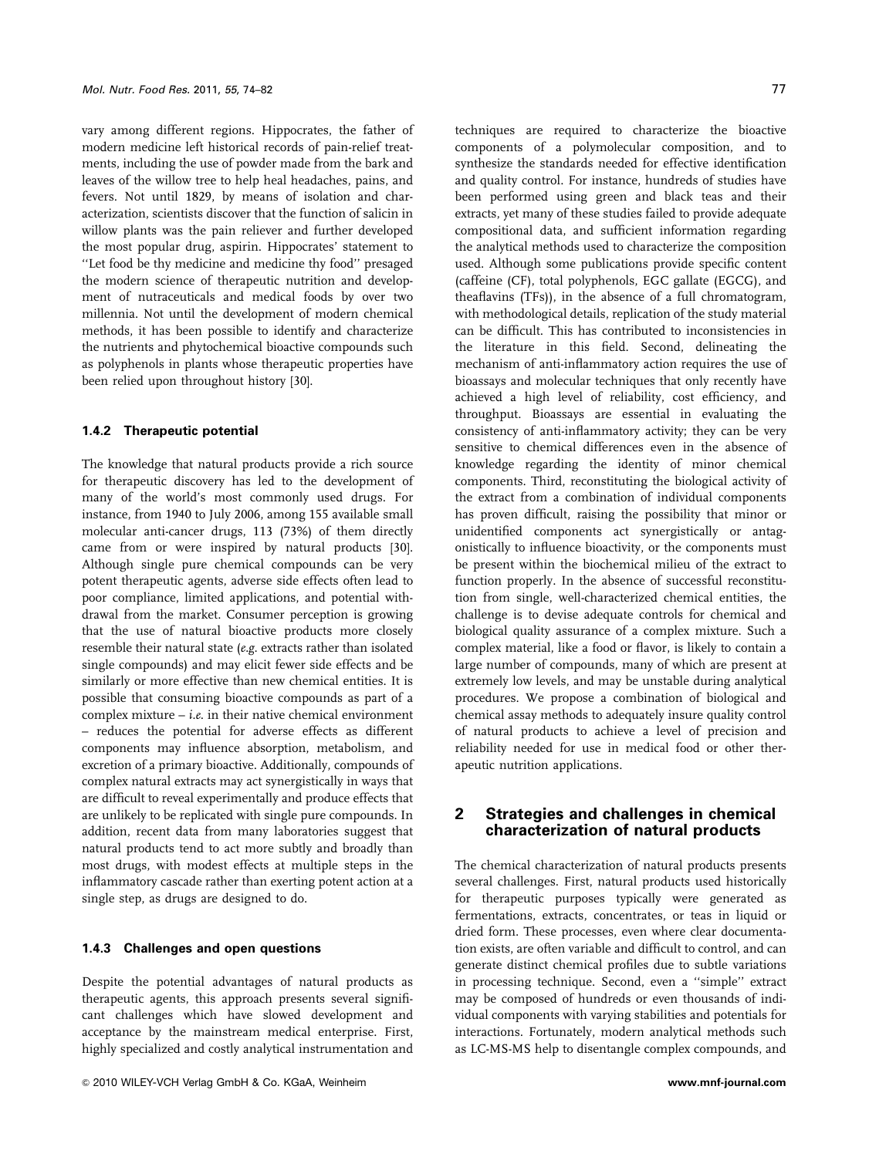vary among different regions. Hippocrates, the father of modern medicine left historical records of pain-relief treatments, including the use of powder made from the bark and leaves of the willow tree to help heal headaches, pains, and fevers. Not until 1829, by means of isolation and characterization, scientists discover that the function of salicin in willow plants was the pain reliever and further developed the most popular drug, aspirin. Hippocrates' statement to ''Let food be thy medicine and medicine thy food'' presaged the modern science of therapeutic nutrition and development of nutraceuticals and medical foods by over two millennia. Not until the development of modern chemical methods, it has been possible to identify and characterize the nutrients and phytochemical bioactive compounds such as polyphenols in plants whose therapeutic properties have been relied upon throughout history [30].

#### **1.4.2 Therapeutic potential**

The knowledge that natural products provide a rich source for therapeutic discovery has led to the development of many of the world's most commonly used drugs. For instance, from 1940 to July 2006, among 155 available small molecular anti-cancer drugs, 113 (73%) of them directly came from or were inspired by natural products [30]. Although single pure chemical compounds can be very potent therapeutic agents, adverse side effects often lead to poor compliance, limited applications, and potential withdrawal from the market. Consumer perception is growing that the use of natural bioactive products more closely resemble their natural state (e.g. extracts rather than isolated single compounds) and may elicit fewer side effects and be similarly or more effective than new chemical entities. It is possible that consuming bioactive compounds as part of a complex mixture  $-$  *i.e.* in their native chemical environment – reduces the potential for adverse effects as different components may influence absorption, metabolism, and excretion of a primary bioactive. Additionally, compounds of complex natural extracts may act synergistically in ways that are difficult to reveal experimentally and produce effects that are unlikely to be replicated with single pure compounds. In addition, recent data from many laboratories suggest that natural products tend to act more subtly and broadly than most drugs, with modest effects at multiple steps in the inflammatory cascade rather than exerting potent action at a single step, as drugs are designed to do.

#### **1.4.3 Challenges and open questions**

Despite the potential advantages of natural products as therapeutic agents, this approach presents several significant challenges which have slowed development and acceptance by the mainstream medical enterprise. First, highly specialized and costly analytical instrumentation and

techniques are required to characterize the bioactive components of a polymolecular composition, and to synthesize the standards needed for effective identification and quality control. For instance, hundreds of studies have been performed using green and black teas and their extracts, yet many of these studies failed to provide adequate compositional data, and sufficient information regarding the analytical methods used to characterize the composition used. Although some publications provide specific content (caffeine (CF), total polyphenols, EGC gallate (EGCG), and theaflavins (TFs)), in the absence of a full chromatogram, with methodological details, replication of the study material can be difficult. This has contributed to inconsistencies in the literature in this field. Second, delineating the mechanism of anti-inflammatory action requires the use of bioassays and molecular techniques that only recently have achieved a high level of reliability, cost efficiency, and throughput. Bioassays are essential in evaluating the consistency of anti-inflammatory activity; they can be very sensitive to chemical differences even in the absence of knowledge regarding the identity of minor chemical components. Third, reconstituting the biological activity of the extract from a combination of individual components has proven difficult, raising the possibility that minor or unidentified components act synergistically or antagonistically to influence bioactivity, or the components must be present within the biochemical milieu of the extract to function properly. In the absence of successful reconstitution from single, well-characterized chemical entities, the challenge is to devise adequate controls for chemical and biological quality assurance of a complex mixture. Such a complex material, like a food or flavor, is likely to contain a large number of compounds, many of which are present at extremely low levels, and may be unstable during analytical procedures. We propose a combination of biological and chemical assay methods to adequately insure quality control of natural products to achieve a level of precision and reliability needed for use in medical food or other therapeutic nutrition applications.

# **2 Strategies and challenges in chemical characterization of natural products**

The chemical characterization of natural products presents several challenges. First, natural products used historically for therapeutic purposes typically were generated as fermentations, extracts, concentrates, or teas in liquid or dried form. These processes, even where clear documentation exists, are often variable and difficult to control, and can generate distinct chemical profiles due to subtle variations in processing technique. Second, even a ''simple'' extract may be composed of hundreds or even thousands of individual components with varying stabilities and potentials for interactions. Fortunately, modern analytical methods such as LC-MS-MS help to disentangle complex compounds, and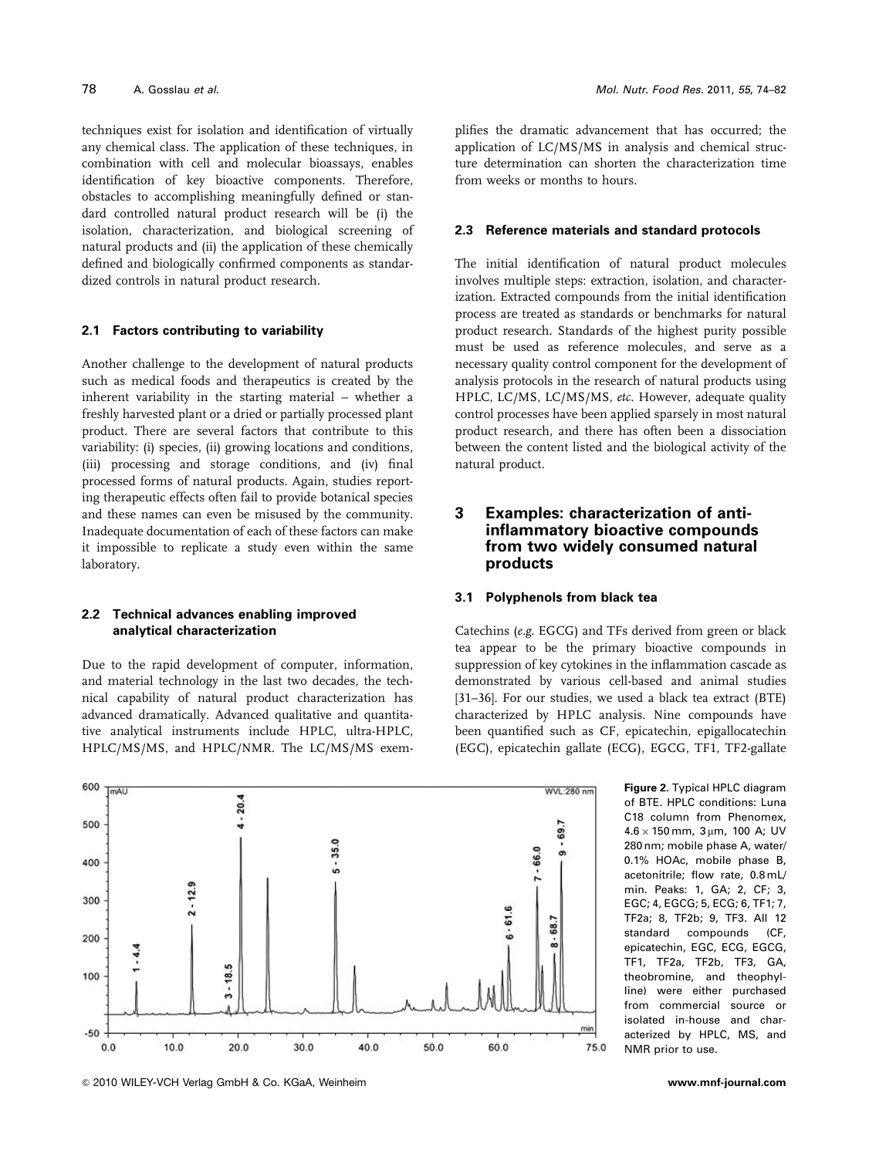techniques exist for isolation and identification of virtually any chemical class. The application of these techniques, in combination with cell and molecular bioassays, enables identification of key bioactive components. Therefore, obstacles to accomplishing meaningfully defined or standard controlled natural product research will be (i) the isolation, characterization, and biological screening of natural products and (ii) the application of these chemically defined and biologically confirmed components as standardized controls in natural product research.

# **2.1 Factors contributing to variability**

Another challenge to the development of natural products such as medical foods and therapeutics is created by the inherent variability in the starting material – whether a freshly harvested plant or a dried or partially processed plant product. There are several factors that contribute to this variability: (i) species, (ii) growing locations and conditions, (iii) processing and storage conditions, and (iv) final processed forms of natural products. Again, studies reporting therapeutic effects often fail to provide botanical species and these names can even be misused by the community. Inadequate documentation of each of these factors can make it impossible to replicate a study even within the same laboratory.

# **2.2 Technical advances enabling improved analytical characterization**

Due to the rapid development of computer, information, and material technology in the last two decades, the technical capability of natural product characterization has advanced dramatically. Advanced qualitative and quantitative analytical instruments include HPLC, ultra-HPLC, HPLC/MS/MS, and HPLC/NMR. The LC/MS/MS exemplifies the dramatic advancement that has occurred; the application of LC/MS/MS in analysis and chemical structure determination can shorten the characterization time from weeks or months to hours.

# **2.3 Reference materials and standard protocols**

The initial identification of natural product molecules involves multiple steps: extraction, isolation, and characterization. Extracted compounds from the initial identification process are treated as standards or benchmarks for natural product research. Standards of the highest purity possible must be used as reference molecules, and serve as a necessary quality control component for the development of analysis protocols in the research of natural products using HPLC, LC/MS, LC/MS/MS, etc. However, adequate quality control processes have been applied sparsely in most natural product research, and there has often been a dissociation between the content listed and the biological activity of the natural product.

# **3 Examples: characterization of antiinflammatory bioactive compounds from two widely consumed natural products**

# **3.1 Polyphenols from black tea**

Catechins (e.g. EGCG) and TFs derived from green or black tea appear to be the primary bioactive compounds in suppression of key cytokines in the inflammation cascade as demonstrated by various cell-based and animal studies [31–36]. For our studies, we used a black tea extract (BTE) characterized by HPLC analysis. Nine compounds have been quantified such as CF, epicatechin, epigallocatechin (EGC), epicatechin gallate (ECG), EGCG, TF1, TF2-gallate

600 WVL:280 nm  $4 - 20.4$ 500 69.7  $5 - 35.0$  $7 - 66.0$  $\sigma$ 400  $2 - 12.9$ 300  $6 - 61.6$ 68.7 200  $-4.4$  $3 - 18.5$ 100  $-50$  $0.0$ 10.0  $20.0$  $30.0$ 40.0 50.0 60.0 75.0

**Figure 2.** Typical HPLC diagram of BTE. HPLC conditions: Luna C18 column from Phenomex,  $4.6 \times 150$  mm,  $3 \mu$ m, 100 A; UV 280 nm; mobile phase A, water/ 0.1% HOAc, mobile phase B, acetonitrile; flow rate, 0.8 mL/ min. Peaks: 1, GA; 2, CF; 3, EGC; 4, EGCG; 5, ECG; 6, TF1; 7, TF2a; 8, TF2b; 9, TF3. All 12 standard compounds (CF, epicatechin, EGC, ECG, EGCG, TF1, TF2a, TF2b, TF3, GA, theobromine, and theophylline) were either purchased from commercial source or isolated in-house and characterized by HPLC, MS, and NMR prior to use.

<sup>&</sup>amp; 2010 WILEY-VCH Verlag GmbH & Co. KGaA, Weinheim **www.mnf-journal.com**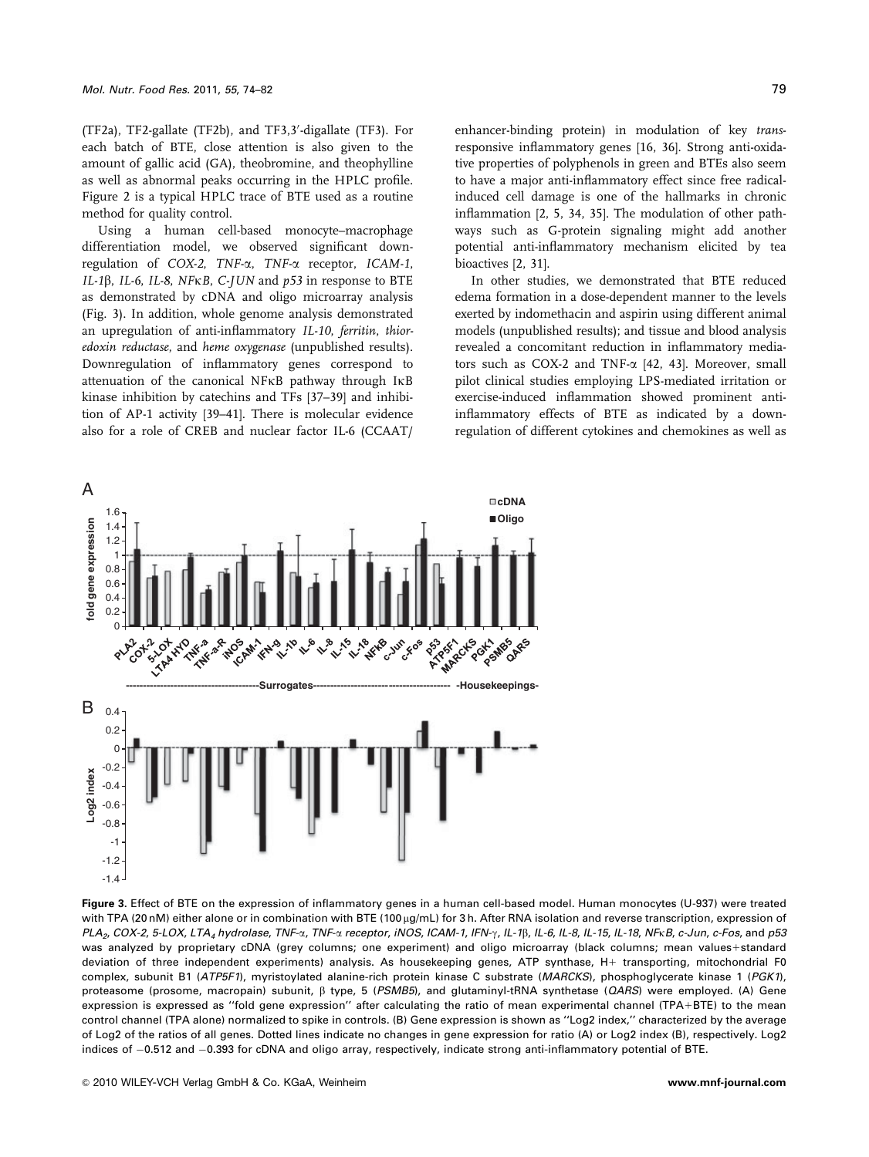1.4

1.6

A

(TF2a), TF2-gallate (TF2b), and TF3,3'-digallate (TF3). For each batch of BTE, close attention is also given to the amount of gallic acid (GA), theobromine, and theophylline

as well as abnormal peaks occurring in the HPLC profile. Figure 2 is a typical HPLC trace of BTE used as a routine method for quality control. Using a human cell-based monocyte–macrophage

differentiation model, we observed significant downregulation of COX-2, TNF-a, TNF-a receptor, ICAM-1, IL-1 $\beta$ , IL-6, IL-8, NFKB, C-JUN and  $p53$  in response to BTE as demonstrated by cDNA and oligo microarray analysis (Fig. 3). In addition, whole genome analysis demonstrated an upregulation of anti-inflammatory IL-10, ferritin, thioredoxin reductase, and heme oxygenase (unpublished results). Downregulation of inflammatory genes correspond to attenuation of the canonical NFkB pathway through IkB kinase inhibition by catechins and TFs [37–39] and inhibition of AP-1 activity [39–41]. There is molecular evidence also for a role of CREB and nuclear factor IL-6 (CCAAT/ enhancer-binding protein) in modulation of key transresponsive inflammatory genes [16, 36]. Strong anti-oxidative properties of polyphenols in green and BTEs also seem to have a major anti-inflammatory effect since free radicalinduced cell damage is one of the hallmarks in chronic inflammation [2, 5, 34, 35]. The modulation of other pathways such as G-protein signaling might add another potential anti-inflammatory mechanism elicited by tea bioactives [2, 31].

In other studies, we demonstrated that BTE reduced edema formation in a dose-dependent manner to the levels exerted by indomethacin and aspirin using different animal models (unpublished results); and tissue and blood analysis revealed a concomitant reduction in inflammatory mediators such as COX-2 and TNF-a [42, 43]. Moreover, small pilot clinical studies employing LPS-mediated irritation or exercise-induced inflammation showed prominent antiinflammatory effects of BTE as indicated by a downregulation of different cytokines and chemokines as well as

**cDNA**

**Oligo**



with TPA (20 nM) either alone or in combination with BTE (100 µg/mL) for 3 h. After RNA isolation and reverse transcription, expression of PLA<sub>2</sub>, COX-2, 5-LOX, LTA<sub>4</sub> hydrolase, TNF- $\alpha$ , TNF- $\alpha$  receptor, iNOS, ICAM-1, IFN- $\gamma$ , IL-1 $\beta$ , IL-6, IL-8, IL-15, IL-18, NFKB, c-Jun, c-Fos, and p53 was analyzed by proprietary cDNA (grey columns; one experiment) and oligo microarray (black columns; mean values+standard deviation of three independent experiments) analysis. As housekeeping genes, ATP synthase, H+ transporting, mitochondrial F0 complex, subunit B1 (*ATP5F1*), myristoylated alanine-rich protein kinase C substrate (*MARCKS*), phosphoglycerate kinase 1 (*PGK1*), proteasome (prosome, macropain) subunit, b type, 5 (*PSMB5*), and glutaminyl-tRNA synthetase (*QARS*) were employed. (A) Gene expression is expressed as "fold gene expression" after calculating the ratio of mean experimental channel (TPA+BTE) to the mean control channel (TPA alone) normalized to spike in controls. (B) Gene expression is shown as ''Log2 index,'' characterized by the average of Log2 of the ratios of all genes. Dotted lines indicate no changes in gene expression for ratio (A) or Log2 index (B), respectively. Log2 indices of –0.512 and –0.393 for cDNA and oligo array, respectively, indicate strong anti-inflammatory potential of BTE.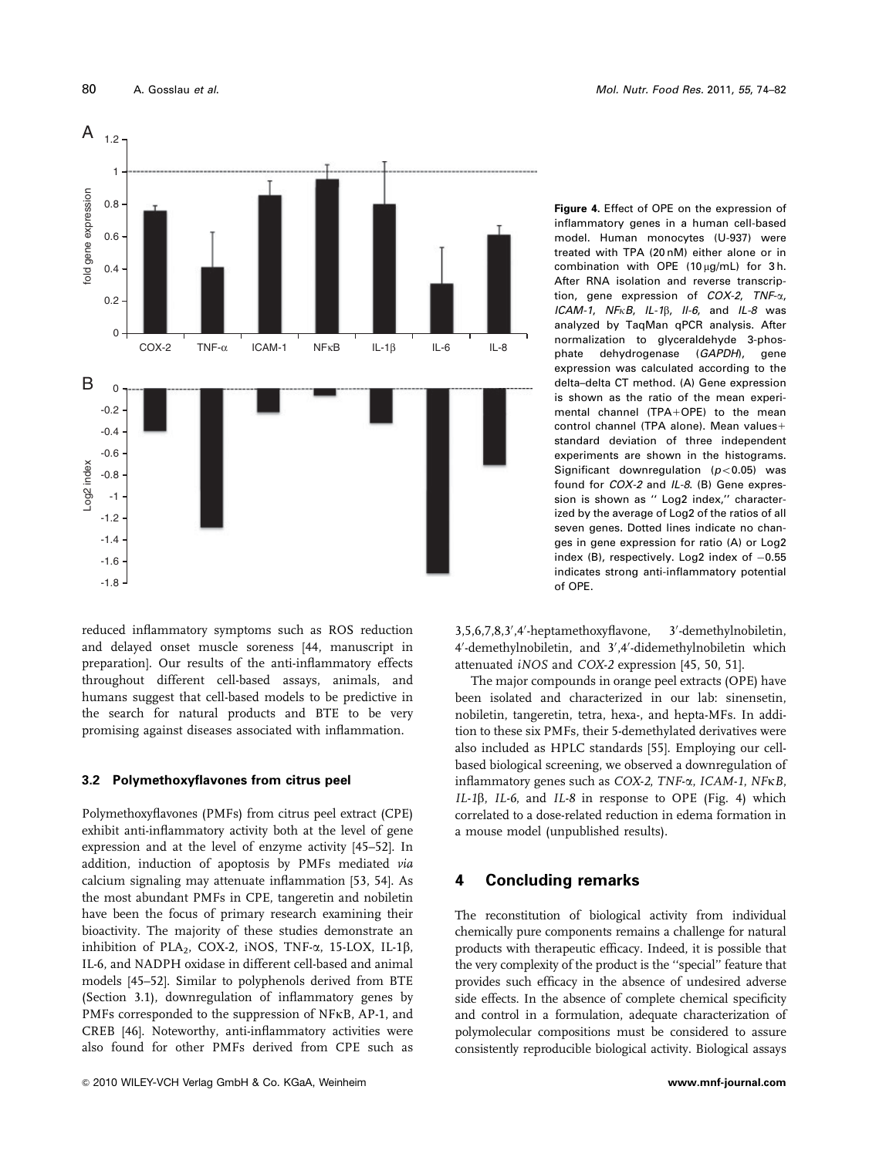

reduced inflammatory symptoms such as ROS reduction and delayed onset muscle soreness [44, manuscript in preparation]. Our results of the anti-inflammatory effects throughout different cell-based assays, animals, and humans suggest that cell-based models to be predictive in the search for natural products and BTE to be very promising against diseases associated with inflammation.

#### **3.2 Polymethoxyflavones from citrus peel**

Polymethoxyflavones (PMFs) from citrus peel extract (CPE) exhibit anti-inflammatory activity both at the level of gene expression and at the level of enzyme activity [45–52]. In addition, induction of apoptosis by PMFs mediated via calcium signaling may attenuate inflammation [53, 54]. As the most abundant PMFs in CPE, tangeretin and nobiletin have been the focus of primary research examining their bioactivity. The majority of these studies demonstrate an inhibition of PLA<sub>2</sub>, COX-2, iNOS, TNF- $\alpha$ , 15-LOX, IL-1 $\beta$ , IL-6, and NADPH oxidase in different cell-based and animal models [45–52]. Similar to polyphenols derived from BTE (Section 3.1), downregulation of inflammatory genes by PMFs corresponded to the suppression of NFkB, AP-1, and CREB [46]. Noteworthy, anti-inflammatory activities were also found for other PMFs derived from CPE such as **Figure 4.** Effect of OPE on the expression of inflammatory genes in a human cell-based model. Human monocytes (U-937) were treated with TPA (20 nM) either alone or in combination with OPE  $(10 \mu q/mL)$  for 3h. After RNA isolation and reverse transcription, gene expression of *COX-2*, *TNF*-a, *ICAM-1*, *NF*k*B*, *IL-1*b, *Il-6*, and *IL-8* was analyzed by TaqMan qPCR analysis. After normalization to glyceraldehyde 3-phosphate dehydrogenase (*GAPDH*), gene expression was calculated according to the delta–delta CT method. (A) Gene expression is shown as the ratio of the mean experimental channel (TPA+OPE) to the mean control channel (TPA alone). Mean values+ standard deviation of three independent experiments are shown in the histograms. Significant downregulation  $(p<0.05)$  was found for *COX-2* and *IL-8*. (B) Gene expression is shown as " Log2 index," characterized by the average of Log2 of the ratios of all seven genes. Dotted lines indicate no changes in gene expression for ratio (A) or Log2 index  $(B)$ , respectively. Log2 index of  $-0.55$ indicates strong anti-inflammatory potential of OPE.

3,5,6,7,8,3',4'-heptamethoxyflavone, 3' -demethylnobiletin, 4'-demethylnobiletin, and 3',4'-didemethylnobiletin which attenuated iNOS and COX-2 expression [45, 50, 51].

The major compounds in orange peel extracts (OPE) have been isolated and characterized in our lab: sinensetin, nobiletin, tangeretin, tetra, hexa-, and hepta-MFs. In addition to these six PMFs, their 5-demethylated derivatives were also included as HPLC standards [55]. Employing our cellbased biological screening, we observed a downregulation of inflammatory genes such as COX-2, TNF-a, ICAM-1, NFkB, IL-1 $\beta$ , IL-6, and IL-8 in response to OPE (Fig. 4) which correlated to a dose-related reduction in edema formation in a mouse model (unpublished results).

# **4 Concluding remarks**

The reconstitution of biological activity from individual chemically pure components remains a challenge for natural products with therapeutic efficacy. Indeed, it is possible that the very complexity of the product is the ''special'' feature that provides such efficacy in the absence of undesired adverse side effects. In the absence of complete chemical specificity and control in a formulation, adequate characterization of polymolecular compositions must be considered to assure consistently reproducible biological activity. Biological assays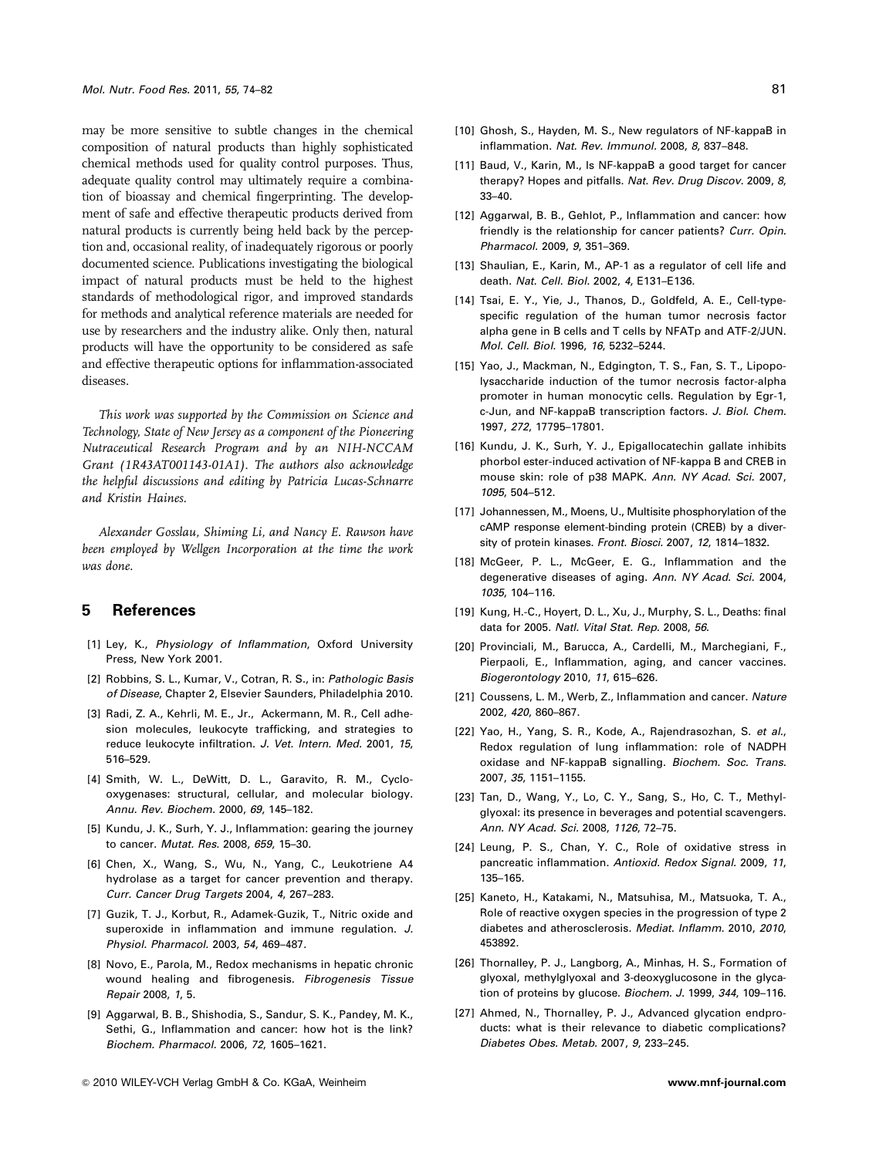may be more sensitive to subtle changes in the chemical composition of natural products than highly sophisticated chemical methods used for quality control purposes. Thus, adequate quality control may ultimately require a combination of bioassay and chemical fingerprinting. The development of safe and effective therapeutic products derived from natural products is currently being held back by the perception and, occasional reality, of inadequately rigorous or poorly documented science. Publications investigating the biological impact of natural products must be held to the highest standards of methodological rigor, and improved standards for methods and analytical reference materials are needed for use by researchers and the industry alike. Only then, natural products will have the opportunity to be considered as safe and effective therapeutic options for inflammation-associated diseases.

This work was supported by the Commission on Science and Technology, State of New Jersey as a component of the Pioneering Nutraceutical Research Program and by an NIH-NCCAM Grant (1R43AT001143-01A1). The authors also acknowledge the helpful discussions and editing by Patricia Lucas-Schnarre and Kristin Haines.

Alexander Gosslau, Shiming Li, and Nancy E. Rawson have been employed by Wellgen Incorporation at the time the work was done.

# **5 References**

- [1] Ley, K., *Physiology of Inflammation*, Oxford University Press, New York 2001.
- [2] Robbins, S. L., Kumar, V., Cotran, R. S., in: *Pathologic Basis of Disease*, Chapter 2, Elsevier Saunders, Philadelphia 2010.
- [3] Radi, Z. A., Kehrli, M. E., Jr., Ackermann, M. R., Cell adhesion molecules, leukocyte trafficking, and strategies to reduce leukocyte infiltration. *J. Vet. Intern. Med.* 2001, *15*, 516–529.
- [4] Smith, W. L., DeWitt, D. L., Garavito, R. M., Cyclooxygenases: structural, cellular, and molecular biology. *Annu. Rev. Biochem.* 2000, *69*, 145–182.
- [5] Kundu, J. K., Surh, Y. J., Inflammation: gearing the journey to cancer. *Mutat. Res.* 2008, *659*, 15–30.
- [6] Chen, X., Wang, S., Wu, N., Yang, C., Leukotriene A4 hydrolase as a target for cancer prevention and therapy. *Curr. Cancer Drug Targets* 2004, *4*, 267–283.
- [7] Guzik, T. J., Korbut, R., Adamek-Guzik, T., Nitric oxide and superoxide in inflammation and immune regulation. *J. Physiol. Pharmacol.* 2003, *54*, 469–487.
- [8] Novo, E., Parola, M., Redox mechanisms in hepatic chronic wound healing and fibrogenesis. *Fibrogenesis Tissue Repair* 2008, *1*, 5.
- [9] Aggarwal, B. B., Shishodia, S., Sandur, S. K., Pandey, M. K., Sethi, G., Inflammation and cancer: how hot is the link? *Biochem. Pharmacol.* 2006, *72*, 1605–1621.
- [10] Ghosh, S., Hayden, M. S., New regulators of NF-kappaB in inflammation. *Nat. Rev. Immunol.* 2008, *8*, 837–848.
- [11] Baud, V., Karin, M., Is NF-kappaB a good target for cancer therapy? Hopes and pitfalls. *Nat. Rev. Drug Discov.* 2009, *8*, 33–40.
- [12] Aggarwal, B. B., Gehlot, P., Inflammation and cancer: how friendly is the relationship for cancer patients? *Curr. Opin. Pharmacol.* 2009, *9*, 351–369.
- [13] Shaulian, E., Karin, M., AP-1 as a regulator of cell life and death. *Nat. Cell. Biol.* 2002, *4*, E131–E136.
- [14] Tsai, E. Y., Yie, J., Thanos, D., Goldfeld, A. E., Cell-typespecific regulation of the human tumor necrosis factor alpha gene in B cells and T cells by NFATp and ATF-2/JUN. *Mol. Cell. Biol.* 1996, *16*, 5232–5244.
- [15] Yao, J., Mackman, N., Edgington, T. S., Fan, S. T., Lipopolysaccharide induction of the tumor necrosis factor-alpha promoter in human monocytic cells. Regulation by Egr-1, c-Jun, and NF-kappaB transcription factors. *J. Biol. Chem.* 1997, *272*, 17795–17801.
- [16] Kundu, J. K., Surh, Y. J., Epigallocatechin gallate inhibits phorbol ester-induced activation of NF-kappa B and CREB in mouse skin: role of p38 MAPK. *Ann. NY Acad. Sci.* 2007, *1095*, 504–512.
- [17] Johannessen, M., Moens, U., Multisite phosphorylation of the cAMP response element-binding protein (CREB) by a diversity of protein kinases. *Front. Biosci.* 2007, *12*, 1814–1832.
- [18] McGeer, P. L., McGeer, E. G., Inflammation and the degenerative diseases of aging. *Ann. NY Acad. Sci.* 2004, *1035*, 104–116.
- [19] Kung, H.-C., Hoyert, D. L., Xu, J., Murphy, S. L., Deaths: final data for 2005. *Natl. Vital Stat. Rep.* 2008, *56*.
- [20] Provinciali, M., Barucca, A., Cardelli, M., Marchegiani, F., Pierpaoli, E., Inflammation, aging, and cancer vaccines. *Biogerontology* 2010, *11*, 615–626.
- [21] Coussens, L. M., Werb, Z., Inflammation and cancer. *Nature* 2002, *420*, 860–867.
- [22] Yao, H., Yang, S. R., Kode, A., Rajendrasozhan, S. *et al.*, Redox regulation of lung inflammation: role of NADPH oxidase and NF-kappaB signalling. *Biochem. Soc. Trans.* 2007, *35*, 1151–1155.
- [23] Tan, D., Wang, Y., Lo, C. Y., Sang, S., Ho, C. T., Methylglyoxal: its presence in beverages and potential scavengers. *Ann. NY Acad. Sci.* 2008, *1126*, 72–75.
- [24] Leung, P. S., Chan, Y. C., Role of oxidative stress in pancreatic inflammation. *Antioxid. Redox Signal.* 2009, *11*, 135–165.
- [25] Kaneto, H., Katakami, N., Matsuhisa, M., Matsuoka, T. A., Role of reactive oxygen species in the progression of type 2 diabetes and atherosclerosis. *Mediat. Inflamm.* 2010, *2010*, 453892.
- [26] Thornalley, P. J., Langborg, A., Minhas, H. S., Formation of glyoxal, methylglyoxal and 3-deoxyglucosone in the glycation of proteins by glucose. *Biochem. J.* 1999, *344*, 109–116.
- [27] Ahmed, N., Thornalley, P. J., Advanced glycation endproducts: what is their relevance to diabetic complications? *Diabetes Obes. Metab.* 2007, *9*, 233–245.